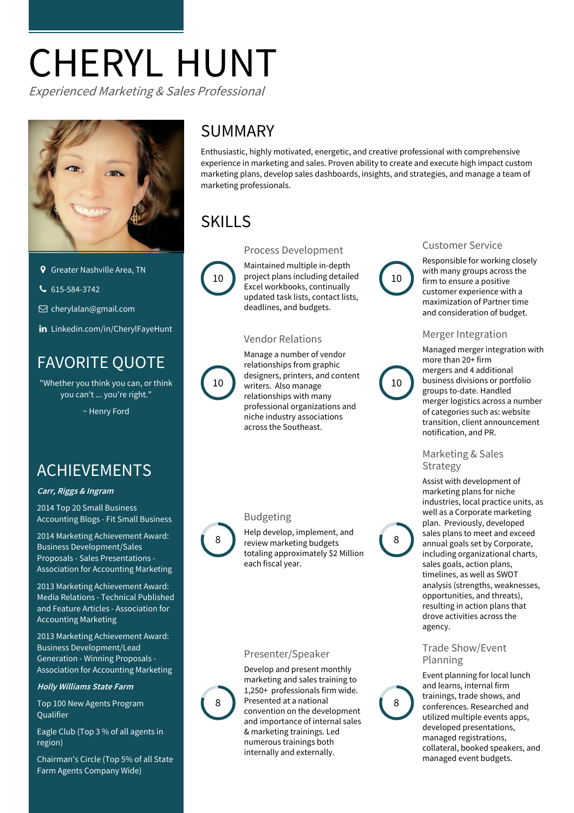# CHERYL HUNT

Experienced Marketing & Sales Professional



- **Q** Greater Nashville Area, TN
- $615-584-3742$

 $□$  [cherylalan@gmail.com](mailto:cherylalan@gmail.com)

in [Linkedin.com/in/CherylFayeHunt](http://www.linkedin.com/in/CherylFayeHunt)

# FAVORITE QUOTE

"Whether you think you can, or think you can't ... you're right."

~ Henry Ford

# ACHIEVEMENTS

#### **Carr, Riggs & Ingram**

2014 Top 20 Small Business [Accounting](http://fitsmallbusiness.com/accounting-websites/) Blogs - Fit Small Business

2014 Marketing Achievement Award: Business [Development/Sales](http://www.accountingtoday.com/news/marketing_growing_practice/aam-awards-accounting-firm-marketers-70775-1.html) Proposals - Sales Presentations -Association for Accounting Marketing

2013 Marketing [Achievement](http://www.accountingtoday.com/news/marketing_growing_practice/aam-awards-accounting-firm-marketers-70775-1.html) Award: Media Relations - Technical Published and Feature Articles - Association for Accounting Marketing

2013 Marketing Achievement Award: Business Development/Lead Generation [-](http://www.accountingtoday.com/blogs/accounting-tomorrow/AAM-presents-2013-Marketing-Achievement-Awards-67071-1.html) Winning Proposals -<br>Association for Accounting Marketing

#### **Holly Williams State Farm**

Top 100 New Agents Program **Oualifier** 

Eagle Club (Top 3 % of all agents in region)

Chairman's Circle (Top 5% of all State Farm Agents Company Wide)

## SUMMARY

Enthusiastic, highly motivated, energetic, and creative professional with comprehensive experience in marketing and sales. Proven ability to create and execute high impact custom marketing plans, develop sales dashboards, insights, and strategies, and manage a team of marketing professionals.

# SKILLS

Process Development



Maintained multiple in-depth 10 Project plans including detailed (10 ) Excel workbooks, continually updated task lists, contact lists, deadlines, and budgets.

#### Vendor Relations



Manage a number of vendor relationships from graphic designers, printers, and content 10 writers. Also manage 10 10 relationships with many professional organizations and niche industry associations across the Southeast.

#### Budgeting



Help develop, implement, and 8 Preview marketing budgets totaling approximately \$2 Million each fiscal year.

#### Presenter/Speaker



marketing and sales training to  $1,250+$  professionals firm wide. convention on the development and importance of internal sales & marketing trainings. Led numerous trainings both internally and externally. 8 Presented at a national 8

#### Customer Service



Responsible for working closely with many groups across the firm to ensure a positive customer experience with a maximization of Partner time and consideration of budget.

#### Merger Integration

Managed merger integration with more than 20+ firm mergers and 4 additional business divisions or portfolio groups to-date. Handled merger logistics across a number of categories such as: website transition, client announcement notification, and PR.

Marketing & Sales Strategy

Assist with development of marketing plans for niche industries, local practice units, as well as a Corporate marketing plan. Previously, developed sales plans to meet and exceed annual goals set by Corporate, including organizational charts, sales goals, action plans, timelines, as well as SWOT analysis (strengths, weaknesses, opportunities, and threats), resulting in action plans that drove activities across the agency.

#### Trade Show/Event Planning



Event planning for local lunch and learns, internal firm trainings, trade shows, and conferences. Researched and utilized multiple events apps, developed presentations, managed registrations, collateral, booked speakers, and managed event budgets.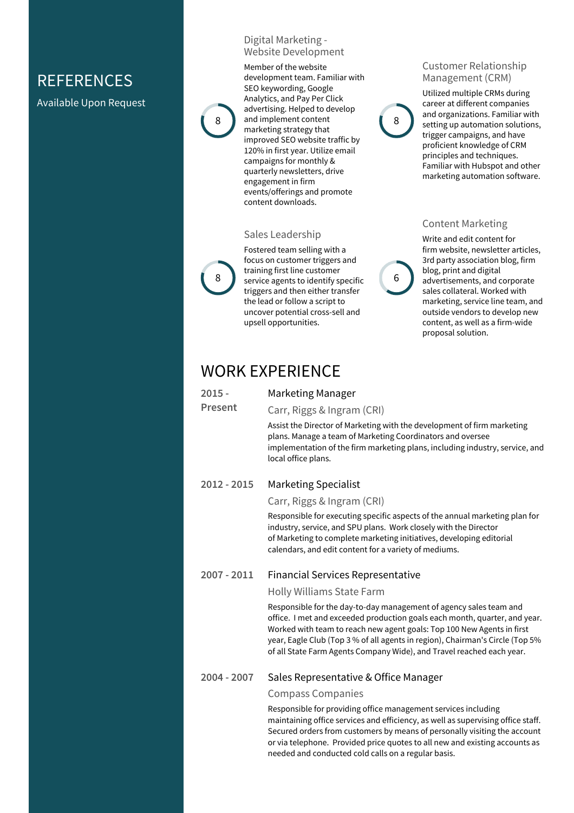## **REFERENCES**

Available Upon Request





Member of the website development team. Familiar with SEO keywording, Google Analytics, and Pay Per Click advertising. Helped to develop 8 and implement content (8) marketing strategy that improved SEO website traffic by 120% in first year. Utilize email campaigns for monthly & quarterly newsletters, drive engagement in firm events/offerings and promote content downloads.

#### Sales Leadership



Fostered team selling with a focus on customer triggers and training first line customer 8 Service agents to identify specific 6 triggers and then either transfer the lead or follow a script to uncover potential cross-sell and upsell opportunities.

#### Customer Relationship Management (CRM)



Utilized multiple CRMs during career at different companies and organizations. Familiar with setting up automation solutions, trigger campaigns, and have proficient knowledge of CRM principles and techniques. Familiar with Hubspot and other marketing automation software.

#### Content Marketing



Write and edit content for firm website, newsletter articles, 3rd party association blog, firm blog, print and digital advertisements, and corporate sales collateral. Worked with marketing, service line team, and outside vendors to develop new content, as well as a firm-wide proposal solution.

### WORK EXPERIENCE

**2015 - Present** Marketing Manager Carr, Riggs & Ingram (CRI)

> Assist the Director of Marketing with the development of firm marketing plans. Manage a team of Marketing Coordinators and oversee implementation of the firm marketing plans, including industry, service, and local office plans.

#### **2012 - 2015** Marketing Specialist

#### Carr, Riggs & Ingram (CRI)

Responsible for executing specific aspects of the annual marketing plan for industry, service, and SPU plans. Work closely with the Director of Marketing to complete marketing initiatives, developing editorial calendars, and edit content for a variety of mediums.

#### **2007 - 2011** Financial Services Representative

#### Holly Williams State Farm

Responsible for the day-to-day management of agency sales team and office. I met and exceeded production goals each month, quarter, and year. Worked with team to reach new agent goals: Top 100 New Agents in first year, Eagle Club (Top 3 % of all agents in region), Chairman's Circle (Top 5% of all State Farm Agents Company Wide), and Travel reached each year.

#### **2004 - 2007** Sales Representative & Office Manager

#### Compass Companies

Responsible for providing office management services including maintaining office services and efficiency, as well as supervising office staff. Secured orders from customers by means of personally visiting the account or via telephone. Provided price quotes to allnew and existing accounts as needed and conducted cold calls on a regular basis.